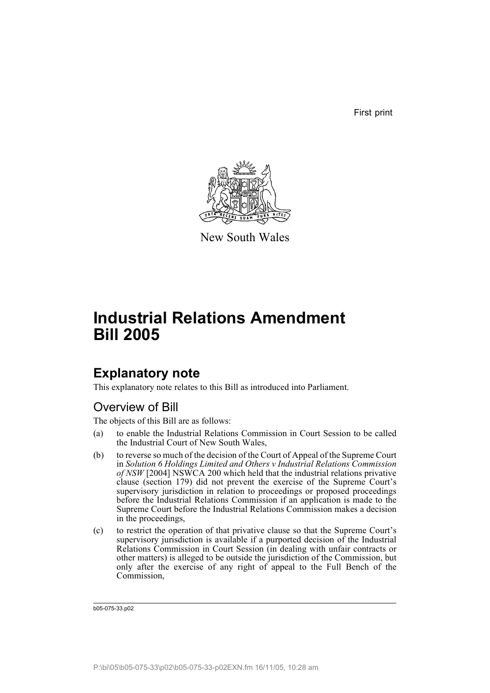First print



New South Wales

# **Industrial Relations Amendment Bill 2005**

## **Explanatory note**

This explanatory note relates to this Bill as introduced into Parliament.

### Overview of Bill

The objects of this Bill are as follows:

- (a) to enable the Industrial Relations Commission in Court Session to be called the Industrial Court of New South Wales,
- (b) to reverse so much of the decision of the Court of Appeal of the Supreme Court in *Solution 6 Holdings Limited and Others v Industrial Relations Commission of NSW* [2004] NSWCA 200 which held that the industrial relations privative clause (section 179) did not prevent the exercise of the Supreme Court's supervisory jurisdiction in relation to proceedings or proposed proceedings before the Industrial Relations Commission if an application is made to the Supreme Court before the Industrial Relations Commission makes a decision in the proceedings,
- (c) to restrict the operation of that privative clause so that the Supreme Court's supervisory jurisdiction is available if a purported decision of the Industrial Relations Commission in Court Session (in dealing with unfair contracts or other matters) is alleged to be outside the jurisdiction of the Commission, but only after the exercise of any right of appeal to the Full Bench of the Commission,

b05-075-33.p02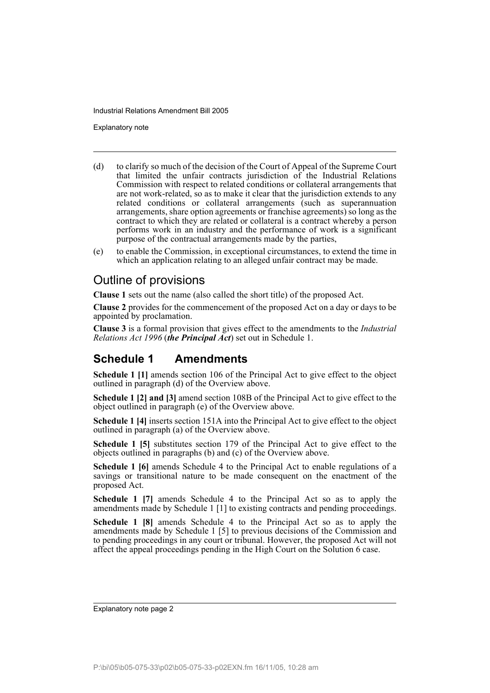Explanatory note

- (d) to clarify so much of the decision of the Court of Appeal of the Supreme Court that limited the unfair contracts jurisdiction of the Industrial Relations Commission with respect to related conditions or collateral arrangements that are not work-related, so as to make it clear that the jurisdiction extends to any related conditions or collateral arrangements (such as superannuation arrangements, share option agreements or franchise agreements) so long as the contract to which they are related or collateral is a contract whereby a person performs work in an industry and the performance of work is a significant purpose of the contractual arrangements made by the parties,
- (e) to enable the Commission, in exceptional circumstances, to extend the time in which an application relating to an alleged unfair contract may be made.

### Outline of provisions

**Clause 1** sets out the name (also called the short title) of the proposed Act.

**Clause 2** provides for the commencement of the proposed Act on a day or days to be appointed by proclamation.

**Clause 3** is a formal provision that gives effect to the amendments to the *Industrial Relations Act 1996* (*the Principal Act*) set out in Schedule 1.

#### **Schedule 1 Amendments**

**Schedule 1 [1]** amends section 106 of the Principal Act to give effect to the object outlined in paragraph (d) of the Overview above.

**Schedule 1 [2] and [3]** amend section 108B of the Principal Act to give effect to the object outlined in paragraph (e) of the Overview above.

**Schedule 1 [4]** inserts section 151A into the Principal Act to give effect to the object outlined in paragraph (a) of the Overview above.

**Schedule 1 [5]** substitutes section 179 of the Principal Act to give effect to the objects outlined in paragraphs (b) and (c) of the Overview above.

**Schedule 1 [6]** amends Schedule 4 to the Principal Act to enable regulations of a savings or transitional nature to be made consequent on the enactment of the proposed Act.

**Schedule 1 [7]** amends Schedule 4 to the Principal Act so as to apply the amendments made by Schedule 1 [1] to existing contracts and pending proceedings.

**Schedule 1 [8]** amends Schedule 4 to the Principal Act so as to apply the amendments made by Schedule 1 [5] to previous decisions of the Commission and to pending proceedings in any court or tribunal. However, the proposed Act will not affect the appeal proceedings pending in the High Court on the Solution 6 case.

Explanatory note page 2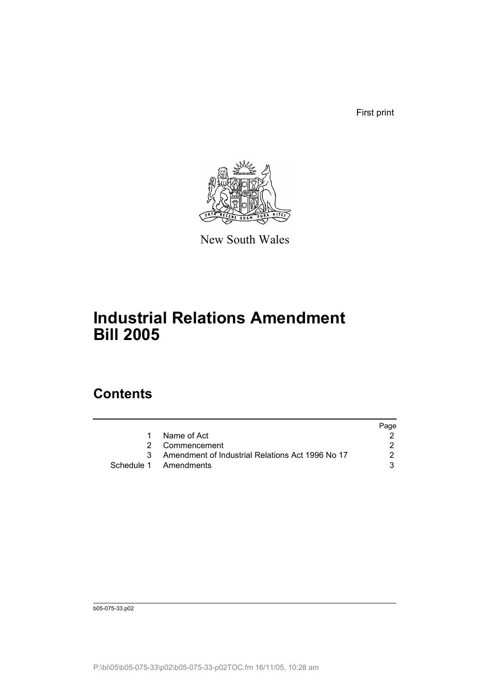First print



New South Wales

# **Industrial Relations Amendment Bill 2005**

### **Contents**

|   |                                                    | Page |
|---|----------------------------------------------------|------|
| 1 | Name of Act                                        |      |
|   | 2 Commencement                                     |      |
|   | 3 Amendment of Industrial Relations Act 1996 No 17 | 2    |
|   | Schedule 1 Amendments                              | 3    |

b05-075-33.p02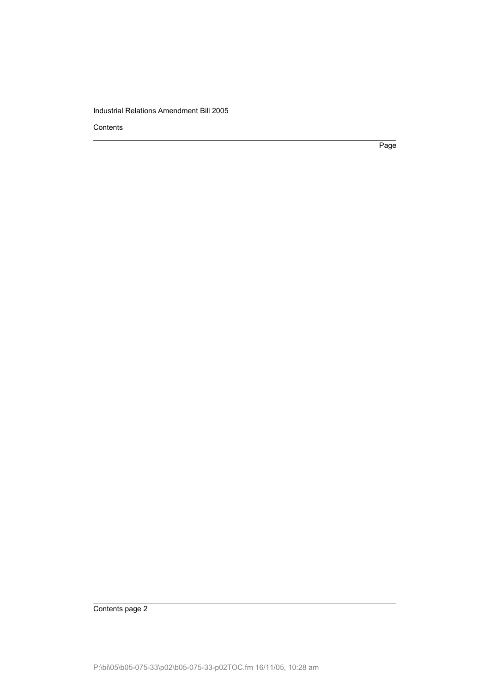**Contents** 

Page

Contents page 2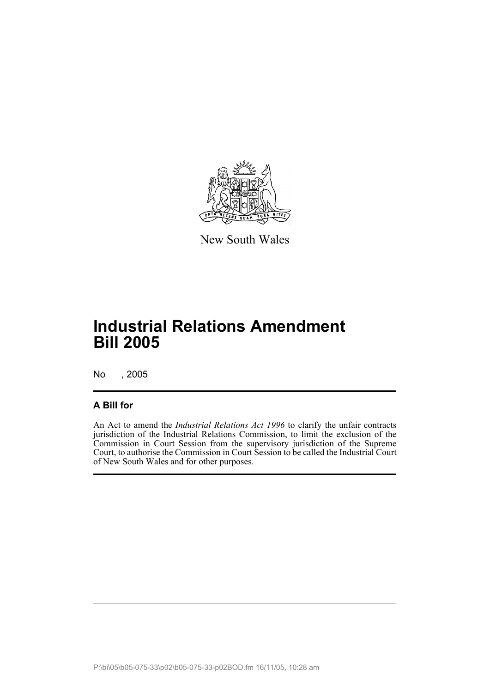

New South Wales

## **Industrial Relations Amendment Bill 2005**

No , 2005

#### **A Bill for**

An Act to amend the *Industrial Relations Act 1996* to clarify the unfair contracts jurisdiction of the Industrial Relations Commission, to limit the exclusion of the Commission in Court Session from the supervisory jurisdiction of the Supreme Court, to authorise the Commission in Court Session to be called the Industrial Court of New South Wales and for other purposes.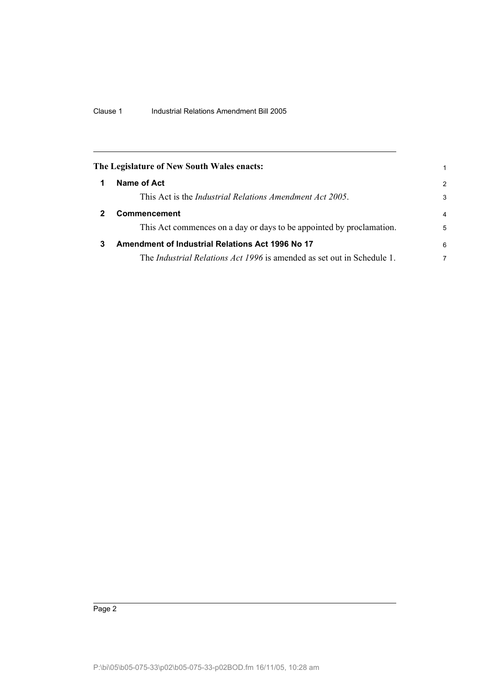|   | The Legislature of New South Wales enacts:                                    | 1              |
|---|-------------------------------------------------------------------------------|----------------|
|   | Name of Act                                                                   | $\mathcal{P}$  |
|   | This Act is the <i>Industrial Relations Amendment Act 2005</i> .              | 3              |
|   | Commencement                                                                  | $\overline{4}$ |
|   | This Act commences on a day or days to be appointed by proclamation.          | 5              |
| 3 | Amendment of Industrial Relations Act 1996 No 17                              | 6              |
|   | The <i>Industrial Relations Act 1996</i> is amended as set out in Schedule 1. | 7              |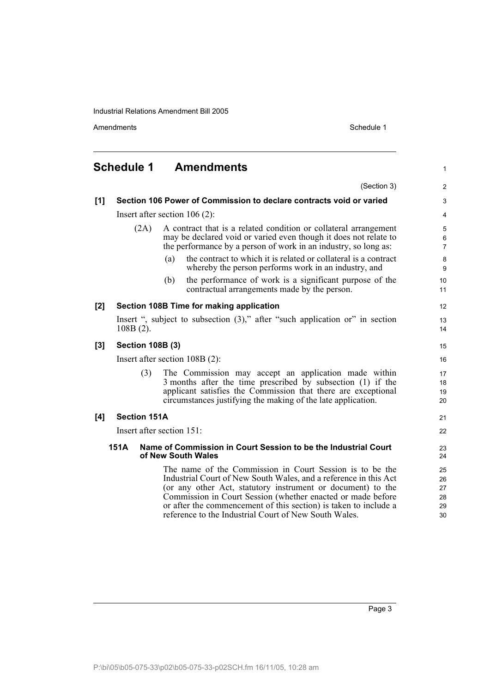Amendments Schedule 1

|       | <b>Schedule 1</b>               |      | <b>Amendments</b>                                                                                                                                                                                                                                                                                                                                                                       | $\mathbf{1}$                     |
|-------|---------------------------------|------|-----------------------------------------------------------------------------------------------------------------------------------------------------------------------------------------------------------------------------------------------------------------------------------------------------------------------------------------------------------------------------------------|----------------------------------|
|       |                                 |      | (Section 3)                                                                                                                                                                                                                                                                                                                                                                             | 2                                |
| [1]   |                                 |      | Section 106 Power of Commission to declare contracts void or varied                                                                                                                                                                                                                                                                                                                     | 3                                |
|       | Insert after section $106(2)$ : |      |                                                                                                                                                                                                                                                                                                                                                                                         | $\overline{4}$                   |
|       |                                 | (2A) | A contract that is a related condition or collateral arrangement<br>may be declared void or varied even though it does not relate to<br>the performance by a person of work in an industry, so long as:                                                                                                                                                                                 | 5<br>$\,6\,$<br>$\overline{7}$   |
|       |                                 |      | the contract to which it is related or collateral is a contract<br>(a)<br>whereby the person performs work in an industry, and                                                                                                                                                                                                                                                          | 8<br>9                           |
|       |                                 |      | the performance of work is a significant purpose of the<br>(b)<br>contractual arrangements made by the person.                                                                                                                                                                                                                                                                          | 10<br>11                         |
| [2]   |                                 |      | Section 108B Time for making application                                                                                                                                                                                                                                                                                                                                                | 12                               |
|       | $108B(2)$ .                     |      | Insert ", subject to subsection (3)," after "such application or" in section                                                                                                                                                                                                                                                                                                            | 13<br>14                         |
| $[3]$ |                                 |      | <b>Section 108B (3)</b>                                                                                                                                                                                                                                                                                                                                                                 | 15                               |
|       |                                 |      | Insert after section 108B (2):                                                                                                                                                                                                                                                                                                                                                          | 16                               |
|       |                                 | (3)  | The Commission may accept an application made within<br>3 months after the time prescribed by subsection (1) if the<br>applicant satisfies the Commission that there are exceptional<br>circumstances justifying the making of the late application.                                                                                                                                    | 17<br>18<br>19<br>20             |
| [4]   | <b>Section 151A</b>             |      |                                                                                                                                                                                                                                                                                                                                                                                         | 21                               |
|       |                                 |      | Insert after section 151:                                                                                                                                                                                                                                                                                                                                                               | 22                               |
|       | 151A                            |      | Name of Commission in Court Session to be the Industrial Court<br>of New South Wales                                                                                                                                                                                                                                                                                                    | 23<br>24                         |
|       |                                 |      | The name of the Commission in Court Session is to be the<br>Industrial Court of New South Wales, and a reference in this Act<br>(or any other Act, statutory instrument or document) to the<br>Commission in Court Session (whether enacted or made before<br>or after the commencement of this section) is taken to include a<br>reference to the Industrial Court of New South Wales. | 25<br>26<br>27<br>28<br>29<br>30 |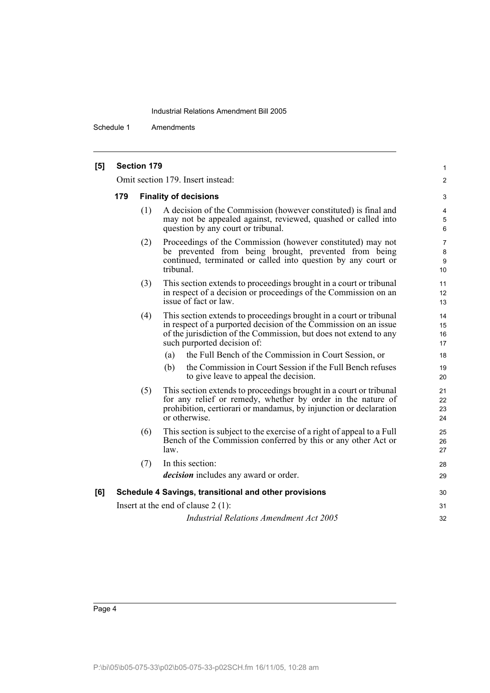Schedule 1 Amendments

| [5] |                                   | <b>Section 179</b> |                                                                                                                                                                                                                                            | 1                    |
|-----|-----------------------------------|--------------------|--------------------------------------------------------------------------------------------------------------------------------------------------------------------------------------------------------------------------------------------|----------------------|
|     | Omit section 179. Insert instead: |                    |                                                                                                                                                                                                                                            | $\overline{c}$       |
|     | 179                               |                    | <b>Finality of decisions</b>                                                                                                                                                                                                               |                      |
|     |                                   | (1)                | A decision of the Commission (however constituted) is final and<br>may not be appealed against, reviewed, quashed or called into<br>question by any court or tribunal.                                                                     | 4<br>5<br>6          |
|     |                                   | (2)                | Proceedings of the Commission (however constituted) may not<br>be prevented from being brought, prevented from being<br>continued, terminated or called into question by any court or<br>tribunal.                                         | 7<br>8<br>9<br>10    |
|     |                                   | (3)                | This section extends to proceedings brought in a court or tribunal<br>in respect of a decision or proceedings of the Commission on an<br>issue of fact or law.                                                                             | 11<br>12<br>13       |
|     |                                   | (4)                | This section extends to proceedings brought in a court or tribunal<br>in respect of a purported decision of the Commission on an issue<br>of the jurisdiction of the Commission, but does not extend to any<br>such purported decision of: | 14<br>15<br>16<br>17 |
|     |                                   |                    | the Full Bench of the Commission in Court Session, or<br>(a)                                                                                                                                                                               | 18                   |
|     |                                   |                    | the Commission in Court Session if the Full Bench refuses<br>(b)<br>to give leave to appeal the decision.                                                                                                                                  | 19<br>20             |
|     |                                   | (5)                | This section extends to proceedings brought in a court or tribunal<br>for any relief or remedy, whether by order in the nature of<br>prohibition, certiorari or mandamus, by injunction or declaration<br>or otherwise.                    | 21<br>22<br>23<br>24 |
|     |                                   | (6)                | This section is subject to the exercise of a right of appeal to a Full<br>Bench of the Commission conferred by this or any other Act or<br>law.                                                                                            | 25<br>26<br>27       |
|     |                                   | (7)                | In this section:                                                                                                                                                                                                                           | 28                   |
|     |                                   |                    | <i>decision</i> includes any award or order.                                                                                                                                                                                               | 29                   |
| [6] |                                   |                    | Schedule 4 Savings, transitional and other provisions                                                                                                                                                                                      | 30                   |
|     |                                   |                    | Insert at the end of clause $2(1)$ :                                                                                                                                                                                                       | 31                   |
|     |                                   |                    | <b>Industrial Relations Amendment Act 2005</b>                                                                                                                                                                                             | 32                   |